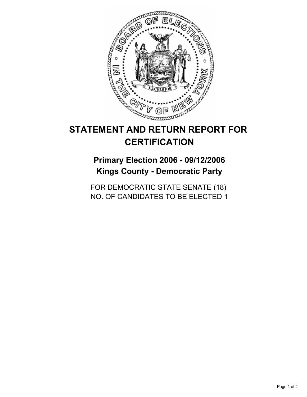

# **STATEMENT AND RETURN REPORT FOR CERTIFICATION**

## **Primary Election 2006 - 09/12/2006 Kings County - Democratic Party**

FOR DEMOCRATIC STATE SENATE (18) NO. OF CANDIDATES TO BE ELECTED 1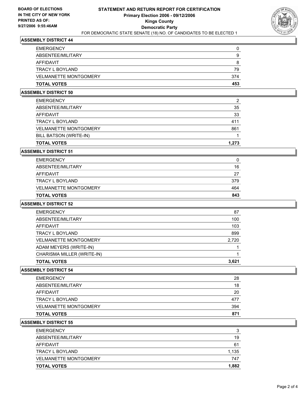

#### **ASSEMBLY DISTRICT 44**

| <b>EMERGENCY</b>             |     |
|------------------------------|-----|
| ABSENTEE/MILITARY            | g   |
| AFFIDAVIT                    |     |
| <b>TRACY L BOYLAND</b>       | 79  |
| <b>VELMANETTE MONTGOMERY</b> | 374 |
| <b>TOTAL VOTES</b>           | 453 |

## **ASSEMBLY DISTRICT 50**

| <b>EMERGENCY</b>             | 2     |
|------------------------------|-------|
| ABSENTEE/MILITARY            | 35    |
| AFFIDAVIT                    | 33    |
| TRACY L BOYLAND              | 411   |
| <b>VELMANETTE MONTGOMERY</b> | 861   |
| BILL BATSON (WRITE-IN)       |       |
| <b>TOTAL VOTES</b>           | 1,273 |

## **ASSEMBLY DISTRICT 51**

| <b>TOTAL VOTES</b>           | 843 |
|------------------------------|-----|
| <b>VELMANETTE MONTGOMERY</b> | 464 |
| TRACY L BOYLAND              | 379 |
| AFFIDAVIT                    | 27  |
| ABSENTEE/MILITARY            | 16  |
| <b>EMERGENCY</b>             |     |

## **ASSEMBLY DISTRICT 52**

| <b>EMERGENCY</b>             | 87    |
|------------------------------|-------|
| ABSENTEE/MILITARY            | 100   |
| AFFIDAVIT                    | 103   |
| TRACY L BOYLAND              | 899   |
| <b>VELMANETTE MONTGOMERY</b> | 2,720 |
| ADAM MEYERS (WRITE-IN)       |       |
| CHARISMA MILLER (WRITE-IN)   |       |
| <b>TOTAL VOTES</b>           | 3,621 |

#### **ASSEMBLY DISTRICT 54**

| <b>TOTAL VOTES</b>           | 871 |
|------------------------------|-----|
| <b>VELMANETTE MONTGOMERY</b> | 394 |
| TRACY L BOYLAND              | 477 |
| AFFIDAVIT                    | 20  |
| ABSENTEE/MILITARY            | 18  |
| <b>EMERGENCY</b>             | 28  |

#### **ASSEMBLY DISTRICT 55**

| <b>EMERGENCY</b>             | 3     |
|------------------------------|-------|
| ABSENTEE/MILITARY            | 19    |
| AFFIDAVIT                    | 61    |
| TRACY L BOYLAND              | 1,135 |
| <b>VELMANETTE MONTGOMERY</b> | 747   |
| <b>TOTAL VOTES</b>           | 1,882 |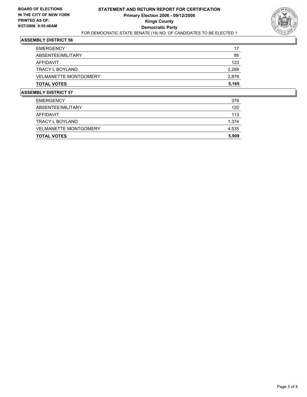

## **ASSEMBLY DISTRICT 56**

| <b>EMERGENCY</b>             | 17    |
|------------------------------|-------|
| ABSENTEE/MILITARY            | 95    |
| AFFIDAVIT                    | 123   |
| TRACY L BOYLAND              | 2,289 |
| <b>VELMANETTE MONTGOMERY</b> | 2,876 |
| <b>TOTAL VOTES</b>           | 5,165 |

## **ASSEMBLY DISTRICT 57**

| <b>TOTAL VOTES</b>           | 5,909 |
|------------------------------|-------|
| <b>VELMANETTE MONTGOMERY</b> | 4,535 |
| TRACY L BOYLAND              | 1,374 |
| AFFIDAVIT                    | 113   |
| ABSENTEE/MILITARY            | 120   |
| <b>EMERGENCY</b>             | 376   |